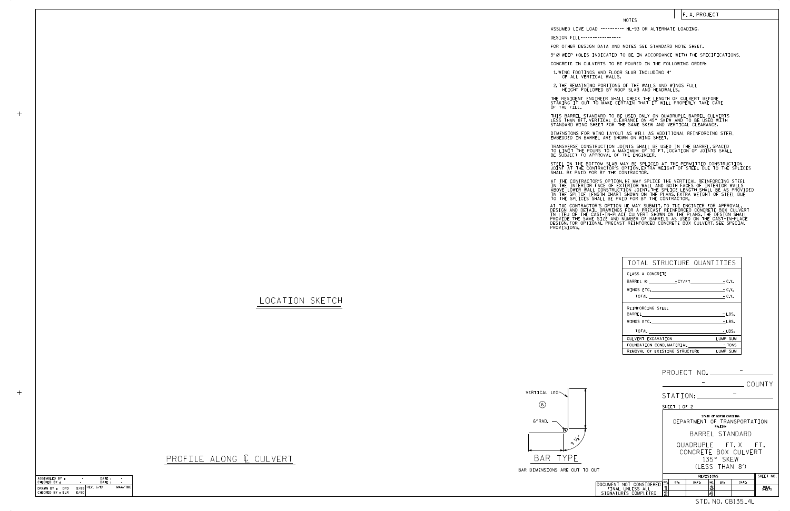| ASSEMBLED BY :                         | ۰     | DATE:             |         |
|----------------------------------------|-------|-------------------|---------|
| CHECKED BY :                           |       | DATF:             |         |
| DRAWN BY :<br>DPD.<br>CHECKED BY : ELR | 10/90 | $12/89$ REV. 6/19 | MAA/THC |

 $+$ 

 $+$ 

|                                             | PROJECT NO. _____________                                                  |
|---------------------------------------------|----------------------------------------------------------------------------|
|                                             | COUNTY                                                                     |
|                                             | STATION:                                                                   |
|                                             | SHEET 1 OF 2                                                               |
|                                             | STATE OF NORTH CAROLINA<br>DEPARTMENT OF TRANSPORTATION<br>RALEIGH         |
|                                             | BARREL STANDARD                                                            |
| O OUT                                       | QUADRUPLE FT.X FT.<br>CONCRETE BOX CULVERT<br>135° SKEW<br>(1 FSS THAN 8') |
|                                             | SHEET NO.<br>REVISIONS                                                     |
| DOCUMENT NOT CONSIDERED<br>FINAL UNLESS ALL | NO.<br>BY:<br>DATE:<br>DATE:<br>NO.<br>RY:<br>3<br>ิ์ โ<br>TOTAL<br>SHEETS |
| SIGNATURES COMPLETED                        | $\overline{2}$<br>4<br>STD.NO.CB135_4L                                     |
|                                             |                                                                            |

## LOCATION SKETCH



## PROFILE ALONG  $C$  CULVERT

| BAR DIMENSIONS ARE OUT TO OUT |  |  |  |  |  |
|-------------------------------|--|--|--|--|--|

STEEL IN THE BOTTOM SLAB MAY BE SPLICED AT THE PERMITTED CONSTRUCTION JOINT AT THE CONTRACTOR'S OPTION.EXTRA WEIGHT OF STEEL DUE TO THE SPLICES<br>SHALL BE PAID FOR BY THE CONTRACTOR.

| TOTAL STRUCTURE QUANTITIES     |          |
|--------------------------------|----------|
| CLASS A CONCRETE               |          |
| BARREL @ - CY/FT - C.Y.        |          |
|                                | $-C.Y.$  |
|                                |          |
| REINFORCING STEEL              |          |
|                                | $-LBS.$  |
| WINGS ETC.                     | $-LBS.$  |
|                                | - LBS.   |
| CULVERT EXCAVATION             | LUMP SUM |
| FOUNDATION COND. MATERIAL TONS |          |
| REMOVAL OF EXISTING STRUCTURE  | LUMP SUM |

## NOTES

DESIGN FILL-----------------

FOR OTHER DESIGN DATA AND NOTES SEE STANDARD NOTE SHEET.

3" Ø WEEP HOLES INDICATED TO BE IN ACCORDANCE WITH THE SPECIFICATIONS.

CONCRETE IN CULVERTS TO BE POURED IN THE FOLLOWING ORDER:

1.WING FOOTINGS AND FLOOR SLAB INCLUDING 4″<br>OF ALL VERTICAL WALLS.

2.THE REMAINING PORTIONS OF THE WALLS AND WINGS FULL<br>HEIGHT FOLLOWED BY ROOF SLAB AND HEADWALLS.

THE RESIDENT ENGINEER SHALL CHECK THE LENGTH OF CULVERT BEFORE<br>STAKING IT OUT TO MAKE CERTAIN THAT IT WILL PROPERLY TAKE CARE<br>OF THE FILL.

AT THE CONTRACTOR'S OPTION HE MAY SUBMIT,TO THE ENGINEER FOR APPROVAL,<br>DESIGN AND DETAIL DRAWINGS FOR A PRECAST REINFORCED CONCRETE BOX CULVERT<br>IN LIEU OF THE CAST-IN-PLACE CULVERT SHOWN ON THE PLANS.THE DESIGN SHALL<br>PROVI PROVISIONS.

IN THE INTERIOR FACE OF EXTERIOR WALL AND BOTH FACES OF INTERIOR WALLS<br>ABOVE LOWER WALL CONSTRUCTION JOINT THE SPLICE LENGTH SHALL BE AS PROVIDED<br>IN THE SPLICE LENGTH CHART SHOWN ON THE PLANS.EXTRA WEIGHT OF STEEL DUE<br>TO T AT THE CONTRACTOR'S OPTION, HE MAY SPLICE THE VERTICAL REINFORCING STEEL

F. A. PROJECT

STANDARD WING SHEET FOR THE SAME SKEW AND VERTICAL CLEARANCE. THIS BARREL STANDARD TO BE USED ONLY ON QUADRUPLE BARREL CULVERTS LESS THAN 8FT. VERTICAL CLEARANCE ON 45° SKEW AND TO BE USED WITH

DIMENSIONS FOR WING LAYOUT AS WELL AS ADDITIONAL REINFORCING STEEL<br>EMBEDDED IN BARREL ARE SHOWN ON WING SHEET.

TRANSVERSE CONSTRUCTION JOINTS SHALL BE USED IN THE BARREL,SPACED<br>TO LIMIT THE POURS TO A MAXIMUM OF 70 FT.LOCATION OF JOINTS SHALL<br>BE SUBJECT TO APPROVAL OF THE ENGINEER.

ASSUMED LIVE LOAD ---------- HL-93 OR ALTERNATE LOADING.